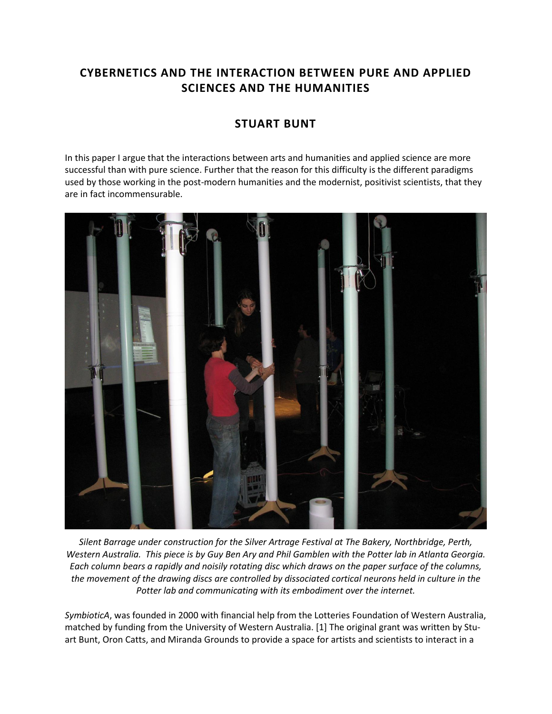## **CYBERNETICS AND THE INTERACTION BETWEEN PURE AND APPLIED SCIENCES AND THE HUMANITIES**

## **STUART BUNT**

In this paper I argue that the interactions between arts and humanities and applied science are more successful than with pure science. Further that the reason for this difficulty is the different paradigms used by those working in the post-modern humanities and the modernist, positivist scientists, that they are in fact incommensurable.



*Silent Barrage under construction for the Silver Artrage Festival at The Bakery, Northbridge, Perth, Western Australia. This piece is by Guy Ben Ary and Phil Gamblen with the Potter lab in Atlanta Georgia. Each column bears a rapidly and noisily rotating disc which draws on the paper surface of the columns, the movement of the drawing discs are controlled by dissociated cortical neurons held in culture in the Potter lab and communicating with its embodiment over the internet.*

*SymbioticA*, was founded in 2000 with financial help from the Lotteries Foundation of Western Australia, matched by funding from the University of Western Australia. [1] The original grant was written by Stuart Bunt, Oron Catts, and Miranda Grounds to provide a space for artists and scientists to interact in a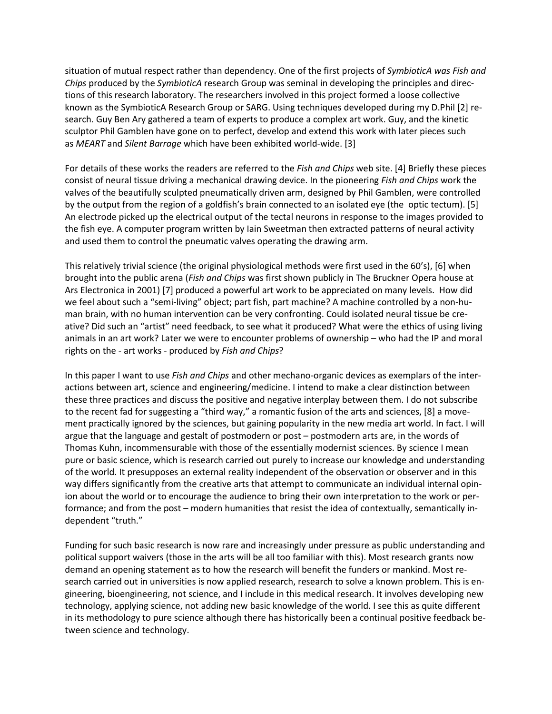situation of mutual respect rather than dependency. One of the first projects of *SymbioticA was Fish and Chips* produced by the *SymbioticA* research Group was seminal in developing the principles and directions of this research laboratory. The researchers involved in this project formed a loose collective known as the SymbioticA Research Group or SARG. Using techniques developed during my D.Phil [2] research. Guy Ben Ary gathered a team of experts to produce a complex art work. Guy, and the kinetic sculptor Phil Gamblen have gone on to perfect, develop and extend this work with later pieces such as *MEART* and *Silent Barrage* which have been exhibited world-wide. [3]

For details of these works the readers are referred to the *Fish and Chips* web site. [4] Briefly these pieces consist of neural tissue driving a mechanical drawing device. In the pioneering *Fish and Chips* work the valves of the beautifully sculpted pneumatically driven arm, designed by Phil Gamblen, were controlled by the output from the region of a goldfish's brain connected to an isolated eye (the optic tectum). [5] An electrode picked up the electrical output of the tectal neurons in response to the images provided to the fish eye. A computer program written by Iain Sweetman then extracted patterns of neural activity and used them to control the pneumatic valves operating the drawing arm.

This relatively trivial science (the original physiological methods were first used in the 60's), [6] when brought into the public arena (*Fish and Chips* was first shown publicly in The Bruckner Opera house at Ars Electronica in 2001) [7] produced a powerful art work to be appreciated on many levels. How did we feel about such a "semi-living" object; part fish, part machine? A machine controlled by a non-human brain, with no human intervention can be very confronting. Could isolated neural tissue be creative? Did such an "artist" need feedback, to see what it produced? What were the ethics of using living animals in an art work? Later we were to encounter problems of ownership – who had the IP and moral rights on the - art works - produced by *Fish and Chips*?

In this paper I want to use *Fish and Chips* and other mechano-organic devices as exemplars of the interactions between art, science and engineering/medicine. I intend to make a clear distinction between these three practices and discuss the positive and negative interplay between them. I do not subscribe to the recent fad for suggesting a "third way," a romantic fusion of the arts and sciences, [8] a movement practically ignored by the sciences, but gaining popularity in the new media art world. In fact. I will argue that the language and gestalt of postmodern or post – postmodern arts are, in the words of Thomas Kuhn, incommensurable with those of the essentially modernist sciences. By science I mean pure or basic science, which is research carried out purely to increase our knowledge and understanding of the world. It presupposes an external reality independent of the observation or observer and in this way differs significantly from the creative arts that attempt to communicate an individual internal opinion about the world or to encourage the audience to bring their own interpretation to the work or performance; and from the post – modern humanities that resist the idea of contextually, semantically independent "truth."

Funding for such basic research is now rare and increasingly under pressure as public understanding and political support waivers (those in the arts will be all too familiar with this). Most research grants now demand an opening statement as to how the research will benefit the funders or mankind. Most research carried out in universities is now applied research, research to solve a known problem. This is engineering, bioengineering, not science, and I include in this medical research. It involves developing new technology, applying science, not adding new basic knowledge of the world. I see this as quite different in its methodology to pure science although there has historically been a continual positive feedback between science and technology.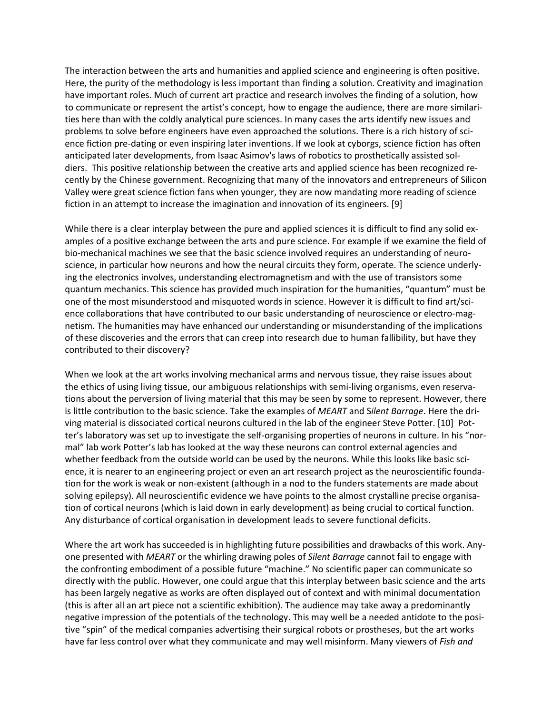The interaction between the arts and humanities and applied science and engineering is often positive. Here, the purity of the methodology is less important than finding a solution. Creativity and imagination have important roles. Much of current art practice and research involves the finding of a solution, how to communicate or represent the artist's concept, how to engage the audience, there are more similarities here than with the coldly analytical pure sciences. In many cases the arts identify new issues and problems to solve before engineers have even approached the solutions. There is a rich history of science fiction pre-dating or even inspiring later inventions. If we look at cyborgs, science fiction has often anticipated later developments, from Isaac Asimov's laws of robotics to prosthetically assisted soldiers. This positive relationship between the creative arts and applied science has been recognized recently by the Chinese government. Recognizing that many of the innovators and entrepreneurs of Silicon Valley were great science fiction fans when younger, they are now mandating more reading of science fiction in an attempt to increase the imagination and innovation of its engineers. [9]

While there is a clear interplay between the pure and applied sciences it is difficult to find any solid examples of a positive exchange between the arts and pure science. For example if we examine the field of bio-mechanical machines we see that the basic science involved requires an understanding of neuroscience, in particular how neurons and how the neural circuits they form, operate. The science underlying the electronics involves, understanding electromagnetism and with the use of transistors some quantum mechanics. This science has provided much inspiration for the humanities, "quantum" must be one of the most misunderstood and misquoted words in science. However it is difficult to find art/science collaborations that have contributed to our basic understanding of neuroscience or electro-magnetism. The humanities may have enhanced our understanding or misunderstanding of the implications of these discoveries and the errors that can creep into research due to human fallibility, but have they contributed to their discovery?

When we look at the art works involving mechanical arms and nervous tissue, they raise issues about the ethics of using living tissue, our ambiguous relationships with semi-living organisms, even reservations about the perversion of living material that this may be seen by some to represent. However, there is little contribution to the basic science. Take the examples of *MEART* and S*ilent Barrage*. Here the driving material is dissociated cortical neurons cultured in the lab of the engineer Steve Potter. [10] Potter's laboratory was set up to investigate the self-organising properties of neurons in culture. In his "normal" lab work Potter's lab has looked at the way these neurons can control external agencies and whether feedback from the outside world can be used by the neurons. While this looks like basic science, it is nearer to an engineering project or even an art research project as the neuroscientific foundation for the work is weak or non-existent (although in a nod to the funders statements are made about solving epilepsy). All neuroscientific evidence we have points to the almost crystalline precise organisation of cortical neurons (which is laid down in early development) as being crucial to cortical function. Any disturbance of cortical organisation in development leads to severe functional deficits.

Where the art work has succeeded is in highlighting future possibilities and drawbacks of this work. Anyone presented with *MEART* or the whirling drawing poles of *Silent Barrage* cannot fail to engage with the confronting embodiment of a possible future "machine." No scientific paper can communicate so directly with the public. However, one could argue that this interplay between basic science and the arts has been largely negative as works are often displayed out of context and with minimal documentation (this is after all an art piece not a scientific exhibition). The audience may take away a predominantly negative impression of the potentials of the technology. This may well be a needed antidote to the positive "spin" of the medical companies advertising their surgical robots or prostheses, but the art works have far less control over what they communicate and may well misinform. Many viewers of *Fish and*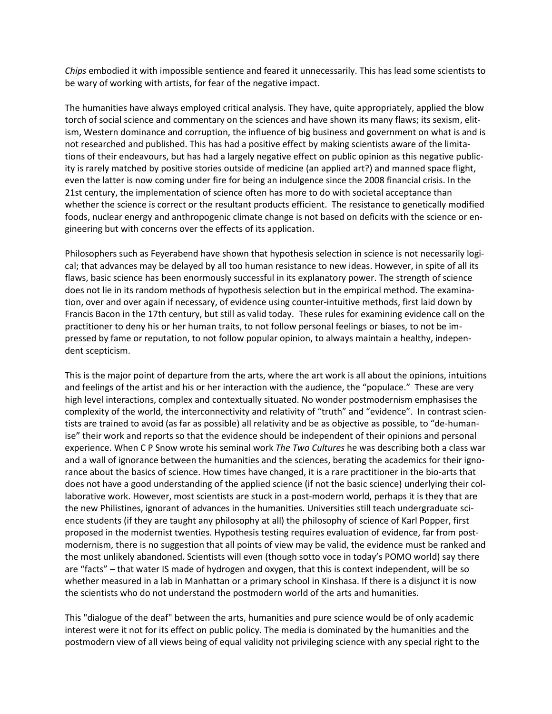*Chips* embodied it with impossible sentience and feared it unnecessarily. This has lead some scientists to be wary of working with artists, for fear of the negative impact.

The humanities have always employed critical analysis. They have, quite appropriately, applied the blow torch of social science and commentary on the sciences and have shown its many flaws; its sexism, elitism, Western dominance and corruption, the influence of big business and government on what is and is not researched and published. This has had a positive effect by making scientists aware of the limitations of their endeavours, but has had a largely negative effect on public opinion as this negative publicity is rarely matched by positive stories outside of medicine (an applied art?) and manned space flight, even the latter is now coming under fire for being an indulgence since the 2008 financial crisis. In the 21st century, the implementation of science often has more to do with societal acceptance than whether the science is correct or the resultant products efficient. The resistance to genetically modified foods, nuclear energy and anthropogenic climate change is not based on deficits with the science or engineering but with concerns over the effects of its application.

Philosophers such as Feyerabend have shown that hypothesis selection in science is not necessarily logical; that advances may be delayed by all too human resistance to new ideas. However, in spite of all its flaws, basic science has been enormously successful in its explanatory power. The strength of science does not lie in its random methods of hypothesis selection but in the empirical method. The examination, over and over again if necessary, of evidence using counter-intuitive methods, first laid down by Francis Bacon in the 17th century, but still as valid today. These rules for examining evidence call on the practitioner to deny his or her human traits, to not follow personal feelings or biases, to not be impressed by fame or reputation, to not follow popular opinion, to always maintain a healthy, independent scepticism.

This is the major point of departure from the arts, where the art work is all about the opinions, intuitions and feelings of the artist and his or her interaction with the audience, the "populace." These are very high level interactions, complex and contextually situated. No wonder postmodernism emphasises the complexity of the world, the interconnectivity and relativity of "truth" and "evidence". In contrast scientists are trained to avoid (as far as possible) all relativity and be as objective as possible, to "de-humanise" their work and reports so that the evidence should be independent of their opinions and personal experience. When C P Snow wrote his seminal work *The Two Cultures* he was describing both a class war and a wall of ignorance between the humanities and the sciences, berating the academics for their ignorance about the basics of science. How times have changed, it is a rare practitioner in the bio-arts that does not have a good understanding of the applied science (if not the basic science) underlying their collaborative work. However, most scientists are stuck in a post-modern world, perhaps it is they that are the new Philistines, ignorant of advances in the humanities. Universities still teach undergraduate science students (if they are taught any philosophy at all) the philosophy of science of Karl Popper, first proposed in the modernist twenties. Hypothesis testing requires evaluation of evidence, far from postmodernism, there is no suggestion that all points of view may be valid, the evidence must be ranked and the most unlikely abandoned. Scientists will even (though sotto voce in today's POMO world) say there are "facts" – that water IS made of hydrogen and oxygen, that this is context independent, will be so whether measured in a lab in Manhattan or a primary school in Kinshasa. If there is a disjunct it is now the scientists who do not understand the postmodern world of the arts and humanities.

This "dialogue of the deaf" between the arts, humanities and pure science would be of only academic interest were it not for its effect on public policy. The media is dominated by the humanities and the postmodern view of all views being of equal validity not privileging science with any special right to the